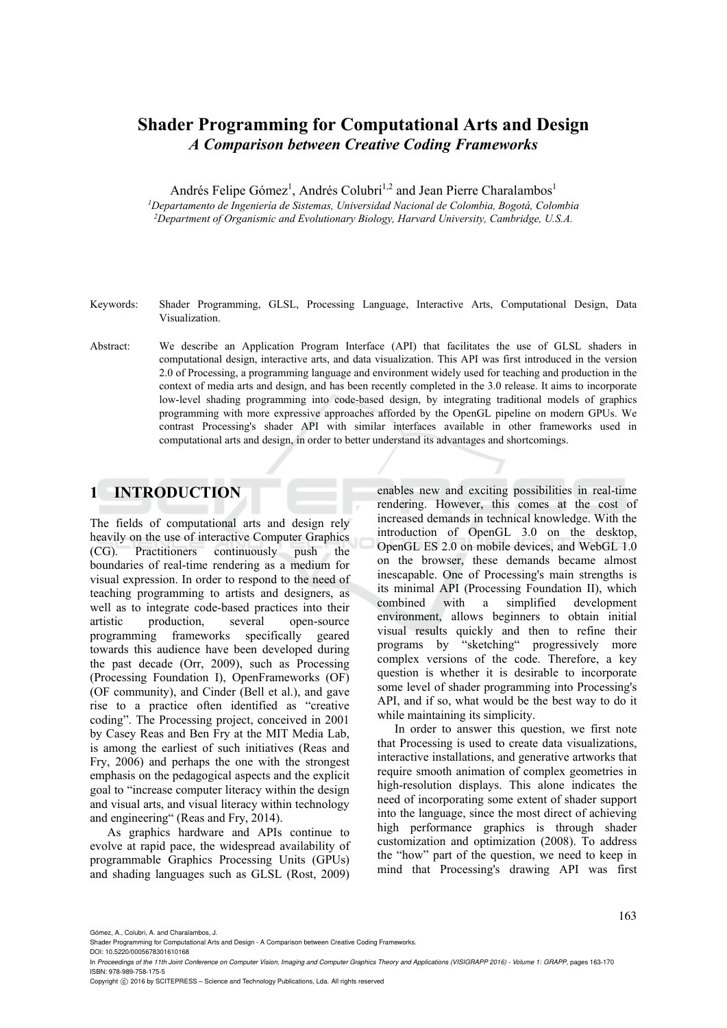# **Shader Programming for Computational Arts and Design**  *A Comparison between Creative Coding Frameworks*

Andrés Felipe Gómez<sup>1</sup>, Andrés Colubri<sup>1,2</sup> and Jean Pierre Charalambos<sup>1</sup> *1Departamento de Ingeniería de Sistemas, Universidad Nacional de Colombia, Bogotá, Colombia 2Department of Organismic and Evolutionary Biology, Harvard University, Cambridge, U.S.A.* 

Keywords: Shader Programming, GLSL, Processing Language, Interactive Arts, Computational Design, Data Visualization.

Abstract: We describe an Application Program Interface (API) that facilitates the use of GLSL shaders in computational design, interactive arts, and data visualization. This API was first introduced in the version 2.0 of Processing, a programming language and environment widely used for teaching and production in the context of media arts and design, and has been recently completed in the 3.0 release. It aims to incorporate low-level shading programming into code-based design, by integrating traditional models of graphics programming with more expressive approaches afforded by the OpenGL pipeline on modern GPUs. We contrast Processing's shader API with similar interfaces available in other frameworks used in computational arts and design, in order to better understand its advantages and shortcomings.

# **1 INTRODUCTION**

The fields of computational arts and design rely heavily on the use of interactive Computer Graphics (CG). Practitioners continuously push the boundaries of real-time rendering as a medium for visual expression. In order to respond to the need of teaching programming to artists and designers, as well as to integrate code-based practices into their artistic production, several open-source programming frameworks specifically geared towards this audience have been developed during the past decade (Orr, 2009), such as Processing (Processing Foundation I), OpenFrameworks (OF) (OF community), and Cinder (Bell et al.), and gave rise to a practice often identified as "creative coding". The Processing project, conceived in 2001 by Casey Reas and Ben Fry at the MIT Media Lab, is among the earliest of such initiatives (Reas and Fry, 2006) and perhaps the one with the strongest emphasis on the pedagogical aspects and the explicit goal to "increase computer literacy within the design and visual arts, and visual literacy within technology and engineering" (Reas and Fry, 2014).

As graphics hardware and APIs continue to evolve at rapid pace, the widespread availability of programmable Graphics Processing Units (GPUs) and shading languages such as GLSL (Rost, 2009)

enables new and exciting possibilities in real-time rendering. However, this comes at the cost of increased demands in technical knowledge. With the introduction of OpenGL 3.0 on the desktop, OpenGL ES 2.0 on mobile devices, and WebGL 1.0 on the browser, these demands became almost inescapable. One of Processing's main strengths is its minimal API (Processing Foundation II), which combined with a simplified development environment, allows beginners to obtain initial visual results quickly and then to refine their programs by "sketching" progressively more complex versions of the code. Therefore, a key question is whether it is desirable to incorporate some level of shader programming into Processing's API, and if so, what would be the best way to do it while maintaining its simplicity.

In order to answer this question, we first note that Processing is used to create data visualizations, interactive installations, and generative artworks that require smooth animation of complex geometries in high-resolution displays. This alone indicates the need of incorporating some extent of shader support into the language, since the most direct of achieving high performance graphics is through shader customization and optimization (2008). To address the "how" part of the question, we need to keep in mind that Processing's drawing API was first

DOI: 10.5220/0005678301610168

Gómez, A., Colubri, A. and Charalambos, J.

Shader Programming for Computational Arts and Design - A Comparison between Creative Coding Frameworks.

In *Proceedings of the 11th Joint Conference on Computer Vision, Imaging and Computer Graphics Theory and Applications (VISIGRAPP 2016) - Volume 1: GRAPP*, pages 163-170 ISBN: 978-989-758-175-5

Copyright © 2016 by SCITEPRESS - Science and Technology Publications, Lda. All rights reserved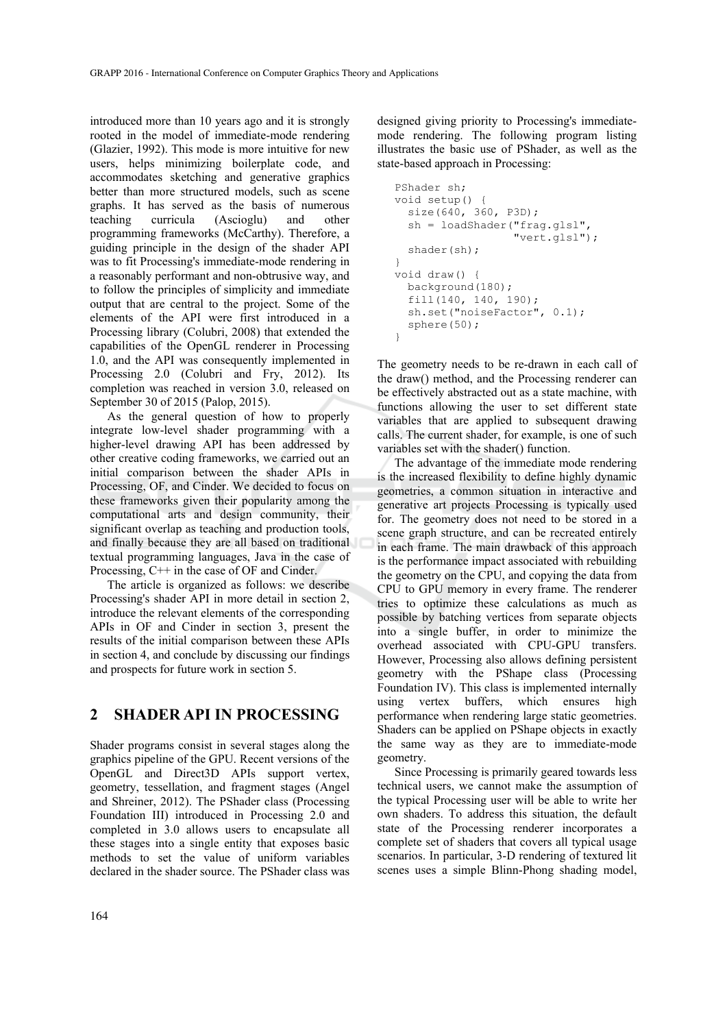introduced more than 10 years ago and it is strongly rooted in the model of immediate-mode rendering (Glazier, 1992). This mode is more intuitive for new users, helps minimizing boilerplate code, and accommodates sketching and generative graphics better than more structured models, such as scene graphs. It has served as the basis of numerous teaching curricula (Ascioglu) and other programming frameworks (McCarthy). Therefore, a guiding principle in the design of the shader API was to fit Processing's immediate-mode rendering in a reasonably performant and non-obtrusive way, and to follow the principles of simplicity and immediate output that are central to the project. Some of the elements of the API were first introduced in a Processing library (Colubri, 2008) that extended the capabilities of the OpenGL renderer in Processing 1.0, and the API was consequently implemented in Processing 2.0 (Colubri and Fry, 2012). Its completion was reached in version 3.0, released on September 30 of 2015 (Palop, 2015).

As the general question of how to properly integrate low-level shader programming with a higher-level drawing API has been addressed by other creative coding frameworks, we carried out an initial comparison between the shader APIs in Processing, OF, and Cinder. We decided to focus on these frameworks given their popularity among the computational arts and design community, their significant overlap as teaching and production tools, and finally because they are all based on traditional textual programming languages, Java in the case of Processing, C++ in the case of OF and Cinder.

The article is organized as follows: we describe Processing's shader API in more detail in section 2, introduce the relevant elements of the corresponding APIs in OF and Cinder in section 3, present the results of the initial comparison between these APIs in section 4, and conclude by discussing our findings and prospects for future work in section 5.

### **2 SHADER API IN PROCESSING**

Shader programs consist in several stages along the graphics pipeline of the GPU. Recent versions of the OpenGL and Direct3D APIs support vertex, geometry, tessellation, and fragment stages (Angel and Shreiner, 2012). The PShader class (Processing Foundation III) introduced in Processing 2.0 and completed in 3.0 allows users to encapsulate all these stages into a single entity that exposes basic methods to set the value of uniform variables declared in the shader source. The PShader class was

designed giving priority to Processing's immediatemode rendering. The following program listing illustrates the basic use of PShader, as well as the state-based approach in Processing:

```
PShader sh; 
void setup() { 
   size(640, 360, P3D); 
   sh = loadShader("frag.glsl", 
                      "vert.glsl"); 
   shader(sh); 
} 
void draw() { 
   background(180); 
   fill(140, 140, 190); 
   sh.set("noiseFactor", 0.1); 
   sphere(50); 
}
```
The geometry needs to be re-drawn in each call of the draw() method, and the Processing renderer can be effectively abstracted out as a state machine, with functions allowing the user to set different state variables that are applied to subsequent drawing calls. The current shader, for example, is one of such variables set with the shader() function.

The advantage of the immediate mode rendering is the increased flexibility to define highly dynamic geometries, a common situation in interactive and generative art projects Processing is typically used for. The geometry does not need to be stored in a scene graph structure, and can be recreated entirely in each frame. The main drawback of this approach is the performance impact associated with rebuilding the geometry on the CPU, and copying the data from CPU to GPU memory in every frame. The renderer tries to optimize these calculations as much as possible by batching vertices from separate objects into a single buffer, in order to minimize the overhead associated with CPU-GPU transfers. However, Processing also allows defining persistent geometry with the PShape class (Processing Foundation IV). This class is implemented internally using vertex buffers, which ensures high performance when rendering large static geometries. Shaders can be applied on PShape objects in exactly the same way as they are to immediate-mode geometry.

Since Processing is primarily geared towards less technical users, we cannot make the assumption of the typical Processing user will be able to write her own shaders. To address this situation, the default state of the Processing renderer incorporates a complete set of shaders that covers all typical usage scenarios. In particular, 3-D rendering of textured lit scenes uses a simple Blinn-Phong shading model,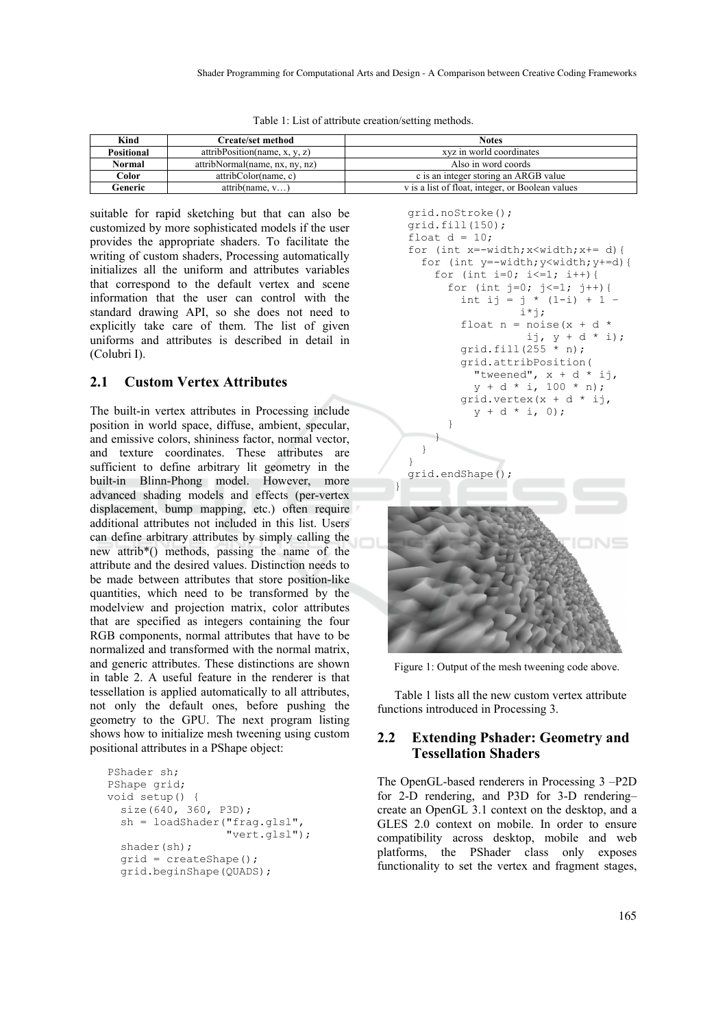|  |  |  | Table 1: List of attribute creation/setting methods. |
|--|--|--|------------------------------------------------------|
|  |  |  |                                                      |

| Kind         | <b>Create/set method</b>       | <b>Notes</b>                                     |  |
|--------------|--------------------------------|--------------------------------------------------|--|
| Positional   | attribPosition(name, x, y, z)  | xyz in world coordinates                         |  |
| Normal       | attribNormal(name, nx, ny, nz) | Also in word coords                              |  |
| <b>Color</b> | attribColor(name, c)           | c is an integer storing an ARGB value            |  |
| Generic      | attribute, v)                  | v is a list of float, integer, or Boolean values |  |

suitable for rapid sketching but that can also be customized by more sophisticated models if the user provides the appropriate shaders. To facilitate the writing of custom shaders, Processing automatically initializes all the uniform and attributes variables that correspond to the default vertex and scene information that the user can control with the standard drawing API, so she does not need to explicitly take care of them. The list of given uniforms and attributes is described in detail in (Colubri I).

#### **2.1 Custom Vertex Attributes**

The built-in vertex attributes in Processing include position in world space, diffuse, ambient, specular, and emissive colors, shininess factor, normal vector, and texture coordinates. These attributes are sufficient to define arbitrary lit geometry in the built-in Blinn-Phong model. However, more advanced shading models and effects (per-vertex displacement, bump mapping, etc.) often require additional attributes not included in this list. Users can define arbitrary attributes by simply calling the new attrib\*() methods, passing the name of the attribute and the desired values. Distinction needs to be made between attributes that store position-like quantities, which need to be transformed by the modelview and projection matrix, color attributes that are specified as integers containing the four RGB components, normal attributes that have to be normalized and transformed with the normal matrix, and generic attributes. These distinctions are shown in table 2. A useful feature in the renderer is that tessellation is applied automatically to all attributes, not only the default ones, before pushing the geometry to the GPU. The next program listing shows how to initialize mesh tweening using custom positional attributes in a PShape object:

```
PShader sh; 
PShape grid; 
void setup() { 
   size(640, 360, P3D); 
   sh = loadShader("frag.glsl", 
                     "vert.glsl"); 
  shader(sh);
   grid = createShape(); 
   grid.beginShape(QUADS);
```


Figure 1: Output of the mesh tweening code above.

Table 1 lists all the new custom vertex attribute functions introduced in Processing 3.

#### **2.2 Extending Pshader: Geometry and Tessellation Shaders**

The OpenGL-based renderers in Processing 3 –P2D for 2-D rendering, and P3D for 3-D rendering– create an OpenGL 3.1 context on the desktop, and a GLES 2.0 context on mobile. In order to ensure compatibility across desktop, mobile and web platforms, the PShader class only exposes functionality to set the vertex and fragment stages,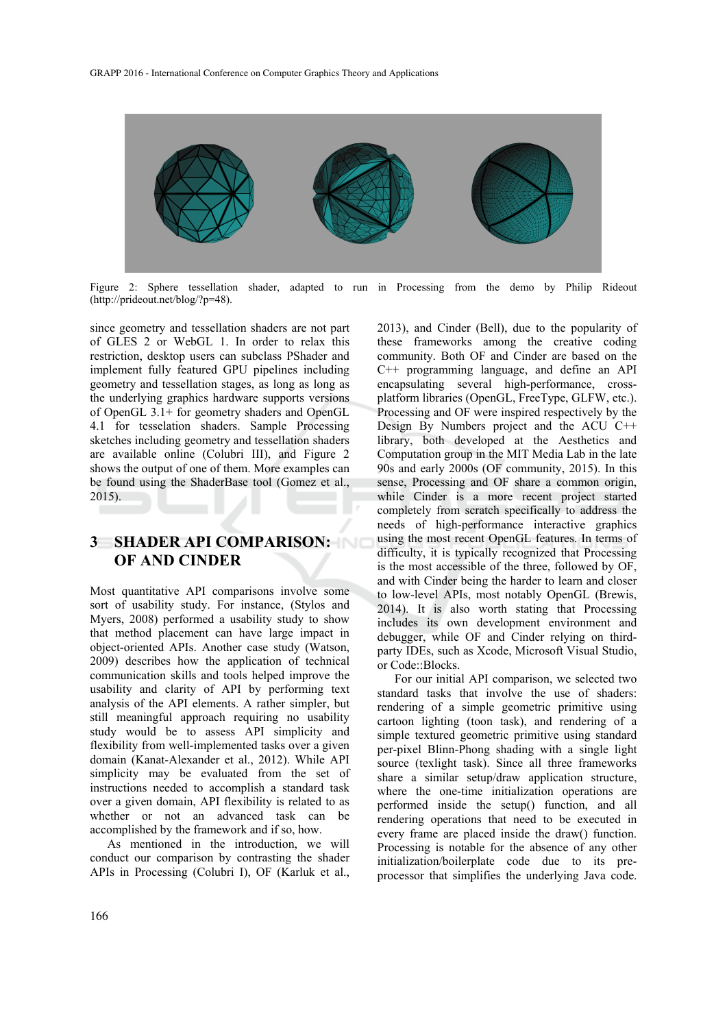

Figure 2: Sphere tessellation shader, adapted to run in Processing from the demo by Philip Rideout (http://prideout.net/blog/?p=48).

since geometry and tessellation shaders are not part of GLES 2 or WebGL 1. In order to relax this restriction, desktop users can subclass PShader and implement fully featured GPU pipelines including geometry and tessellation stages, as long as long as the underlying graphics hardware supports versions of OpenGL 3.1+ for geometry shaders and OpenGL 4.1 for tesselation shaders. Sample Processing sketches including geometry and tessellation shaders are available online (Colubri III), and Figure 2 shows the output of one of them. More examples can be found using the ShaderBase tool (Gomez et al., 2015).

## **3 SHADER API COMPARISON: OF AND CINDER**

Most quantitative API comparisons involve some sort of usability study. For instance, (Stylos and Myers, 2008) performed a usability study to show that method placement can have large impact in object-oriented APIs. Another case study (Watson, 2009) describes how the application of technical communication skills and tools helped improve the usability and clarity of API by performing text analysis of the API elements. A rather simpler, but still meaningful approach requiring no usability study would be to assess API simplicity and flexibility from well-implemented tasks over a given domain (Kanat-Alexander et al., 2012). While API simplicity may be evaluated from the set of instructions needed to accomplish a standard task over a given domain, API flexibility is related to as whether or not an advanced task can be accomplished by the framework and if so, how.

As mentioned in the introduction, we will conduct our comparison by contrasting the shader APIs in Processing (Colubri I), OF (Karluk et al., 2013), and Cinder (Bell), due to the popularity of these frameworks among the creative coding community. Both OF and Cinder are based on the C++ programming language, and define an API encapsulating several high-performance, crossplatform libraries (OpenGL, FreeType, GLFW, etc.). Processing and OF were inspired respectively by the Design By Numbers project and the ACU C++ library, both developed at the Aesthetics and Computation group in the MIT Media Lab in the late 90s and early 2000s (OF community, 2015). In this sense, Processing and OF share a common origin, while Cinder is a more recent project started completely from scratch specifically to address the needs of high-performance interactive graphics using the most recent OpenGL features. In terms of difficulty, it is typically recognized that Processing is the most accessible of the three, followed by OF, and with Cinder being the harder to learn and closer to low-level APIs, most notably OpenGL (Brewis, 2014). It is also worth stating that Processing includes its own development environment and debugger, while OF and Cinder relying on thirdparty IDEs, such as Xcode, Microsoft Visual Studio, or Code::Blocks.

For our initial API comparison, we selected two standard tasks that involve the use of shaders: rendering of a simple geometric primitive using cartoon lighting (toon task), and rendering of a simple textured geometric primitive using standard per-pixel Blinn-Phong shading with a single light source (texlight task). Since all three frameworks share a similar setup/draw application structure, where the one-time initialization operations are performed inside the setup() function, and all rendering operations that need to be executed in every frame are placed inside the draw() function. Processing is notable for the absence of any other initialization/boilerplate code due to its preprocessor that simplifies the underlying Java code.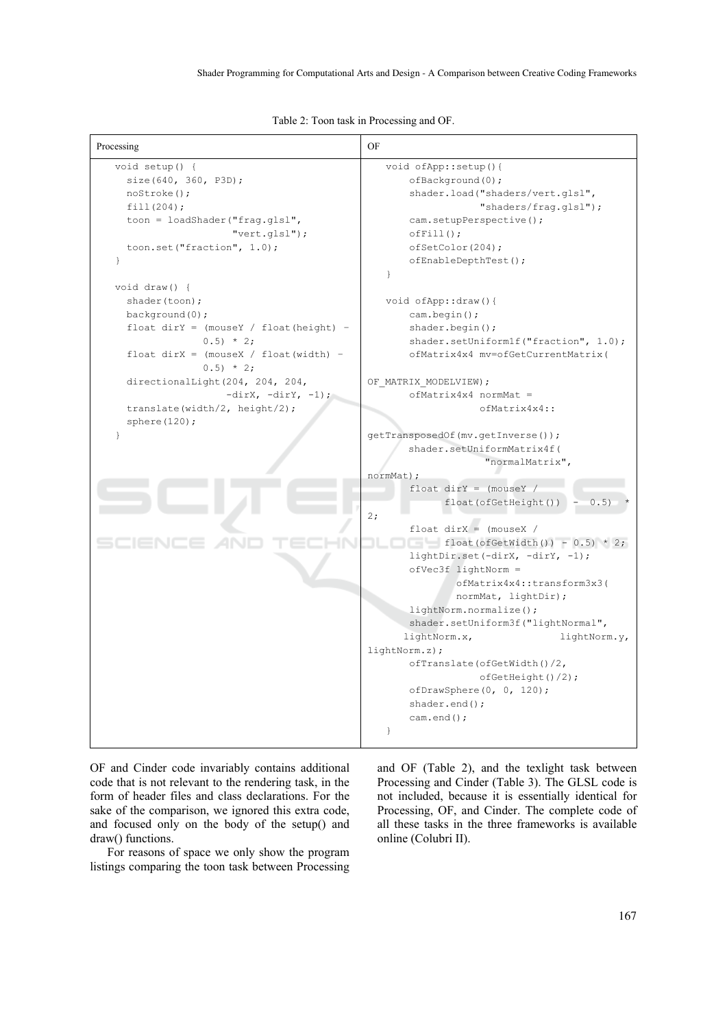Table 2: Toon task in Processing and OF.

| Processing                                                                                                                                                                                                                                                                                                                                                                                                                                                                                                                      | OF                                                                                                                                                                                                                                                                                                                                                                                                                                                                                                                                                                                                                                                                                                                                                                                                                                                                                                                                       |
|---------------------------------------------------------------------------------------------------------------------------------------------------------------------------------------------------------------------------------------------------------------------------------------------------------------------------------------------------------------------------------------------------------------------------------------------------------------------------------------------------------------------------------|------------------------------------------------------------------------------------------------------------------------------------------------------------------------------------------------------------------------------------------------------------------------------------------------------------------------------------------------------------------------------------------------------------------------------------------------------------------------------------------------------------------------------------------------------------------------------------------------------------------------------------------------------------------------------------------------------------------------------------------------------------------------------------------------------------------------------------------------------------------------------------------------------------------------------------------|
| void setup() {<br>size(640, 360, P3D);<br>noStroke();<br>fill(204);<br>toon = loadShader("frag.glsl",<br>$"vert,qls1"$ );<br>toon.set("fraction", $1.0$ );<br>$\mathcal{F}$<br>void $draw()$ {<br>shader (toon);<br>background(0);<br>float $dirY = (mouseY / float(height) -$<br>$0.5$ * 2;<br>float $\text{dirX} = (\text{mouseX} / \text{float}(\text{width}) -$<br>$0.5$ * 2;<br>directionalLight(204, 204, 204,<br>$-dirX, -dirY, -1);$<br>translate(width/2, height/2);<br>sphere $(120)$ ;<br>$\mathcal{L}$<br>SCIENCE Z | void ofApp::setup(){<br>$of$ Background $(0)$ ;<br>shader.load("shaders/vert.glsl",<br>"shaders/frag.glsl");<br>cam.setupPerspective();<br>$offfill()$ ;<br>ofSetColor(204);<br>ofEnableDepthTest();<br>$\mathcal{L}$<br>void ofApp::draw(){<br>cam.begin();<br>$shader. begin()$ ;<br>shader.setUniform1f("fraction", 1.0);<br>ofMatrix4x4 mv=ofGetCurrentMatrix(<br>OF MATRIX MODELVIEW);<br>$ofMatrix4x4$ normMat =<br>$ofMatrix4x4:$ :<br>qetTransposedOf(mv.qetInverse());<br>shader.setUniformMatrix4f(<br>"normalMatrix",<br>normMat);<br>float $dirY = (mouseY /$<br>float(ofGetHeight())<br>0.5)<br>2:<br>float $\text{dirX} = \text{ (mouseX)}$<br>$\Box$ float (of GetWidth ()) - 0.5) * 2;<br>lightDir.set(-dirX, -dirY, -1);<br>$ofVec3f$ lightNorm =<br>ofMatrix4x4::transform3x3(<br>normMat, lightDir);<br>lightNorm.normalize();<br>shader.setUniform3f("lightNormal",<br>lightNorm.x,<br>lightNorm.y,<br>lightNorm.z); |
|                                                                                                                                                                                                                                                                                                                                                                                                                                                                                                                                 | ofTranslate(ofGetWidth()/2,<br>ofGetHeight() / 2);<br>ofDrawSphere(0, 0, 120);<br>$shader.end()$ ;<br>$cam.end()$ ;<br>$\mathcal{L}$                                                                                                                                                                                                                                                                                                                                                                                                                                                                                                                                                                                                                                                                                                                                                                                                     |

OF and Cinder code invariably contains additional code that is not relevant to the rendering task, in the form of header files and class declarations. For the sake of the comparison, we ignored this extra code, and focused only on the body of the setup() and draw() functions.

For reasons of space we only show the program listings comparing the toon task between Processing and OF (Table 2), and the texlight task between Processing and Cinder (Table 3). The GLSL code is not included, because it is essentially identical for Processing, OF, and Cinder. The complete code of all these tasks in the three frameworks is available online (Colubri II).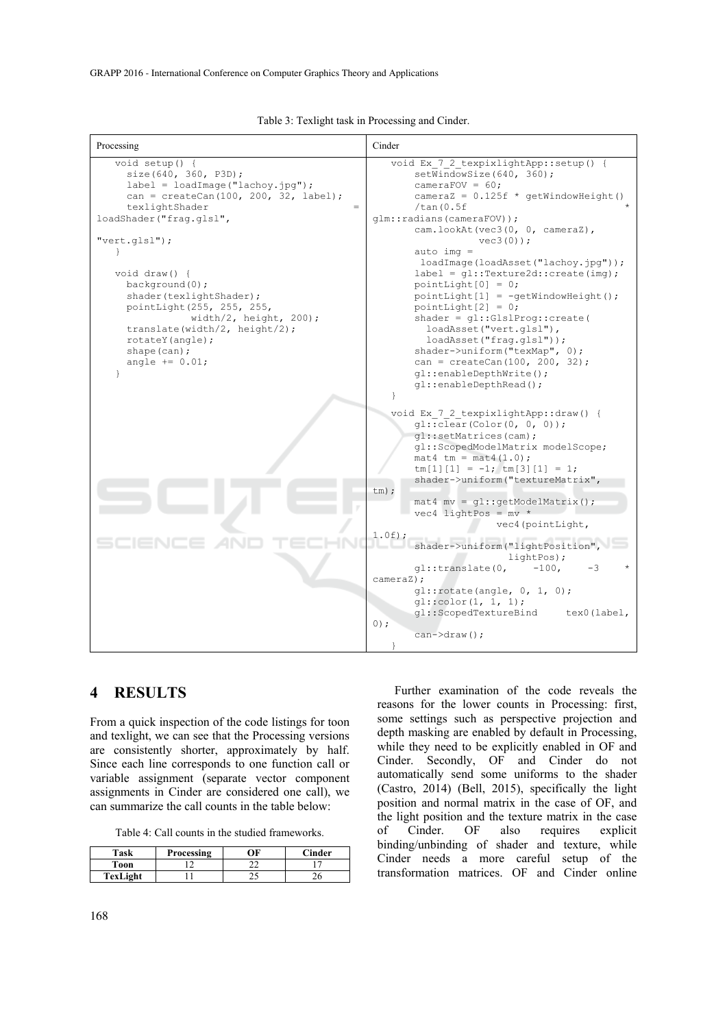| Processing                                                                                                                                                                                                                                                                                                                                                                                                                         | Cinder                                                                                                                                                                                                                                                                                                                                                                                                                                                                                                                                                                                                                                                                |
|------------------------------------------------------------------------------------------------------------------------------------------------------------------------------------------------------------------------------------------------------------------------------------------------------------------------------------------------------------------------------------------------------------------------------------|-----------------------------------------------------------------------------------------------------------------------------------------------------------------------------------------------------------------------------------------------------------------------------------------------------------------------------------------------------------------------------------------------------------------------------------------------------------------------------------------------------------------------------------------------------------------------------------------------------------------------------------------------------------------------|
| void setup() {<br>size(640, 360, P3D);<br>$label = loadImage("lachoy.jpg")$ ;<br>$can = createCan(100, 200, 32, label);$<br>texlightShader<br>$=$<br>loadShader("fraq.glsl",<br>$"vert,qls1"$ ;<br><b>}</b><br>void $draw() \{$<br>background(0);<br>shader(texlightShader);<br>pointLight(255, 255, 255,<br>width/2, height, $200$ );<br>translate(width/2, height/2);<br>rotateY (angle);<br>shape $(can)$ ;<br>angle $+= 0.01;$ | void Ex 7 2 texpixlightApp::setup() {<br>setWindowSize(640, 360);<br>cameraFOV = $60;$<br>$\text{cameraZ} = 0.125f * \text{qetWindowHeight}()$<br>/tan(0.5f)<br>qlm::radians(cameraFOV));<br>cam.lookAt(vec3(0, 0, cameraZ),<br>$vec3(0)$ ;<br>$auto imq =$<br>loadImage(loadAsset("lachoy.jpg"));<br>$label = q1::Texture2d::create(imq);$<br>pointLight[0] = $0$ ;<br>$pointLight[1] = -qetWindowHeight()$ ;<br>$pointLight[2] = 0;$<br>$shader = q1::GlslProq::create($<br>loadAsset("vert.glsl"),<br>loadAsset("frag.glsl"));<br>$shader$ ->uniform ("texMap", $0$ );<br>$can = createCan(100, 200, 32);$<br>ql::enableDepthWrite();<br>$ql::enableDepthRead()$ ; |
| NEE.<br>- 1999                                                                                                                                                                                                                                                                                                                                                                                                                     | $\mathcal{F}$<br>void Ex 7 2 texpixlightApp:: draw() {<br>ql::clear(Color(0, 0, 0));<br>ql::setMatrices(cam);<br>ql::ScopedModelMatrix modelScope;<br>$mat4$ tm = $mat4$ (1.0);<br>$tm[1][1] = -1;tm[3][1] = 1;$<br>shader->uniform("textureMatrix",<br>$tm)$ ;<br>$\texttt{mat4} \texttt{mv} = \texttt{ql} : \texttt{getModelMatrix}()$ ;<br>$vec4$ lightPos = mv *<br>vec4 (pointLight,<br>$1.0f$ ;<br>shader->uniform("lightPosition",<br>lightPos);<br>$ql:$ :translate $(0,$<br>$-100$ ,<br>-3<br>cameraZ);<br>ql::rotate(angle, 0, 1, 0);<br>ql::color(1, 1, 1);<br>ql::ScopedTextureBind<br>tex0(label,<br>$0)$ ;<br>$can$ $\rightarrow$ draw();               |

Table 3: Texlight task in Processing and Cinder.

## **4 RESULTS**

From a quick inspection of the code listings for toon and texlight, we can see that the Processing versions are consistently shorter, approximately by half. Since each line corresponds to one function call or variable assignment (separate vector component assignments in Cinder are considered one call), we can summarize the call counts in the table below:

Table 4: Call counts in the studied frameworks.

| Task     | Processing | ОF | <b>Cinder</b> |
|----------|------------|----|---------------|
| Toon     |            |    |               |
| TexLight |            |    | ٤U            |

Further examination of the code reveals the reasons for the lower counts in Processing: first, some settings such as perspective projection and depth masking are enabled by default in Processing, while they need to be explicitly enabled in OF and Cinder. Secondly, OF and Cinder do not automatically send some uniforms to the shader (Castro, 2014) (Bell, 2015), specifically the light position and normal matrix in the case of OF, and the light position and the texture matrix in the case<br>of Cinder. OF also requires explicit of Cinder. OF also requires explicit binding/unbinding of shader and texture, while Cinder needs a more careful setup of the transformation matrices. OF and Cinder online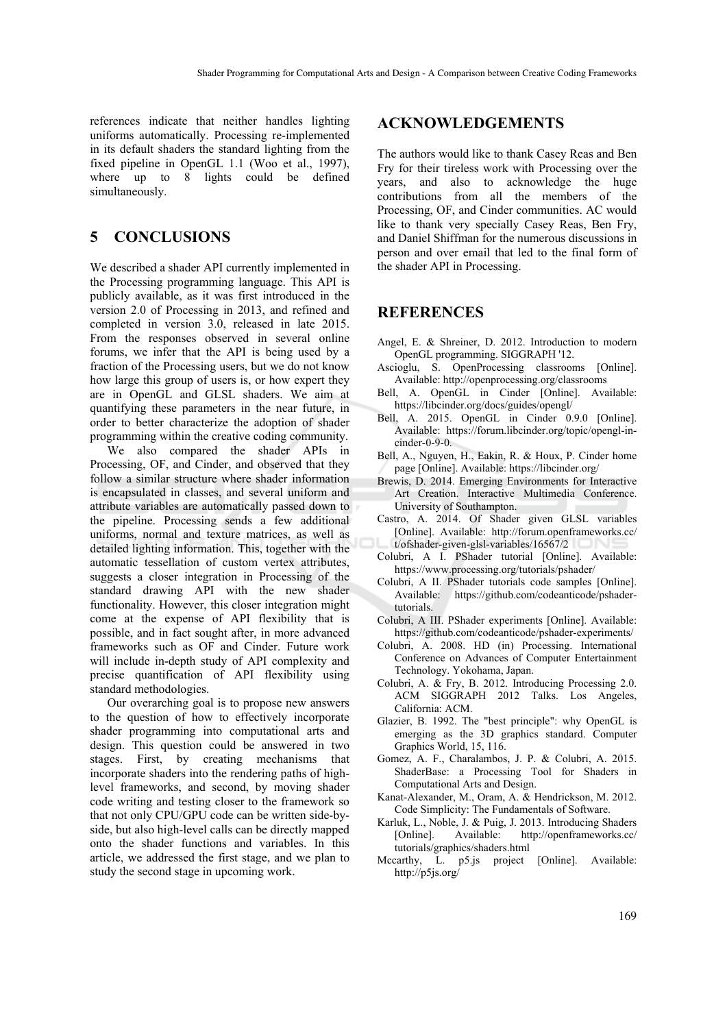references indicate that neither handles lighting uniforms automatically. Processing re-implemented in its default shaders the standard lighting from the fixed pipeline in OpenGL 1.1 (Woo et al., 1997), where up to 8 lights could be defined simultaneously.

## **5 CONCLUSIONS**

We described a shader API currently implemented in the Processing programming language. This API is publicly available, as it was first introduced in the version 2.0 of Processing in 2013, and refined and completed in version 3.0, released in late 2015. From the responses observed in several online forums, we infer that the API is being used by a fraction of the Processing users, but we do not know how large this group of users is, or how expert they are in OpenGL and GLSL shaders. We aim at quantifying these parameters in the near future, in order to better characterize the adoption of shader programming within the creative coding community.

We also compared the shader APIs in Processing, OF, and Cinder, and observed that they follow a similar structure where shader information is encapsulated in classes, and several uniform and attribute variables are automatically passed down to the pipeline. Processing sends a few additional uniforms, normal and texture matrices, as well as detailed lighting information. This, together with the automatic tessellation of custom vertex attributes, suggests a closer integration in Processing of the standard drawing API with the new shader functionality. However, this closer integration might come at the expense of API flexibility that is possible, and in fact sought after, in more advanced frameworks such as OF and Cinder. Future work will include in-depth study of API complexity and precise quantification of API flexibility using standard methodologies.

Our overarching goal is to propose new answers to the question of how to effectively incorporate shader programming into computational arts and design. This question could be answered in two stages. First, by creating mechanisms that incorporate shaders into the rendering paths of highlevel frameworks, and second, by moving shader code writing and testing closer to the framework so that not only CPU/GPU code can be written side-byside, but also high-level calls can be directly mapped onto the shader functions and variables. In this article, we addressed the first stage, and we plan to study the second stage in upcoming work.

### **ACKNOWLEDGEMENTS**

The authors would like to thank Casey Reas and Ben Fry for their tireless work with Processing over the years, and also to acknowledge the huge contributions from all the members of the Processing, OF, and Cinder communities. AC would like to thank very specially Casey Reas, Ben Fry, and Daniel Shiffman for the numerous discussions in person and over email that led to the final form of the shader API in Processing.

#### **REFERENCES**

- Angel, E. & Shreiner, D. 2012. Introduction to modern OpenGL programming. SIGGRAPH '12.
- Ascioglu, S. OpenProcessing classrooms [Online]. Available: http://openprocessing.org/classrooms
- Bell, A. OpenGL in Cinder [Online]. Available: https://libcinder.org/docs/guides/opengl/
- Bell, A. 2015. OpenGL in Cinder 0.9.0 [Online]. Available: https://forum.libcinder.org/topic/opengl-incinder-0-9-0.
- Bell, A., Nguyen, H., Eakin, R. & Houx, P. Cinder home page [Online]. Available: https://libcinder.org/
- Brewis, D. 2014. Emerging Environments for Interactive Art Creation. Interactive Multimedia Conference. University of Southampton.
- Castro, A. 2014. Of Shader given GLSL variables [Online]. Available: http://forum.openframeworks.cc/ t/ofshader-given-glsl-variables/16567/2
- Colubri, A I. PShader tutorial [Online]. Available: https://www.processing.org/tutorials/pshader/
- Colubri, A II. PShader tutorials code samples [Online]. Available: https://github.com/codeanticode/pshadertutorials.
- Colubri, A III. PShader experiments [Online]. Available: https://github.com/codeanticode/pshader-experiments/
- Colubri, A. 2008. HD (in) Processing. International Conference on Advances of Computer Entertainment Technology. Yokohama, Japan.
- Colubri, A. & Fry, B. 2012. Introducing Processing 2.0. ACM SIGGRAPH 2012 Talks. Los Angeles, California: ACM.
- Glazier, B. 1992. The "best principle": why OpenGL is emerging as the 3D graphics standard. Computer Graphics World, 15, 116.
- Gomez, A. F., Charalambos, J. P. & Colubri, A. 2015. ShaderBase: a Processing Tool for Shaders in Computational Arts and Design.
- Kanat-Alexander, M., Oram, A. & Hendrickson, M. 2012. Code Simplicity: The Fundamentals of Software.
- Karluk, L., Noble, J. & Puig, J. 2013. Introducing Shaders [Online]. Available: http://openframeworks.cc/ tutorials/graphics/shaders.html
- Mccarthy, L. p5.js project [Online]. Available: http://p5js.org/